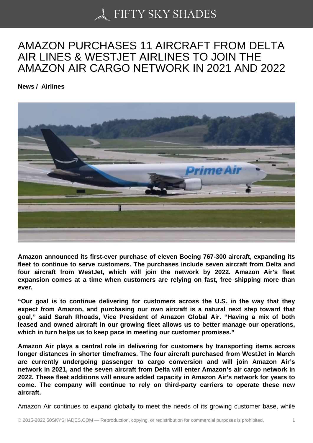## [AMAZON PURCHASE](https://50skyshades.com)S 11 AIRCRAFT FROM DELTA AIR LINES & WESTJET AIRLINES TO JOIN THE AMAZON AIR CARGO NETWORK IN 2021 AND 2022

News / Airlines

Amazon announced its first-ever purchase of eleven Boeing 767-300 aircraft, expanding its fleet to continue to serve customers. The purchases include seven aircraft from Delta and four aircraft from WestJet, which will join the network by 2022. Amazon Air's fleet expansion comes at a time when customers are relying on fast, free shipping more than ever.

"Our goal is to continue delivering for customers across the U.S. in the way that they expect from Amazon, and purchasing our own aircraft is a natural next step toward that goal," said Sarah Rhoads, Vice President of Amazon Global Air. "Having a mix of both leased and owned aircraft in our growing fleet allows us to better manage our operations, which in turn helps us to keep pace in meeting our customer promises."

Amazon Air plays a central role in delivering for customers by transporting items across longer distances in shorter timeframes. The four aircraft purchased from WestJet in March are currently undergoing passenger to cargo conversion and will join Amazon Air's network in 2021, and the seven aircraft from Delta will enter Amazon's air cargo network in 2022. These fleet additions will ensure added capacity in Amazon Air's network for years to come. The company will continue to rely on third-party carriers to operate these new aircraft.

Amazon Air continues to expand globally to meet the needs of its growing customer base, while